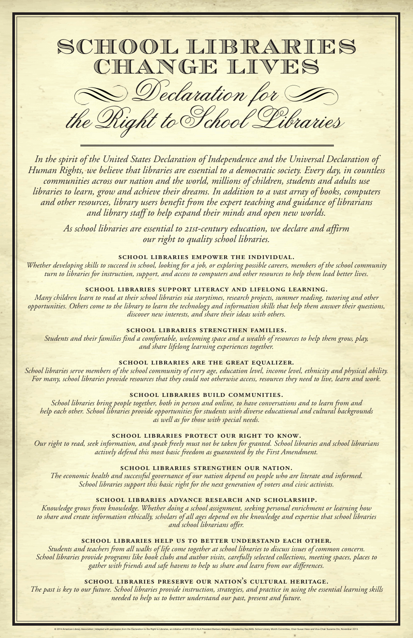## *our right to quality school libraries.*

#### **school libraries empower the individual.**

*Whether developing skills to succeed in school, looking for a job, or exploring possible careers, members of the school community turn to libraries for instruction, support, and access to computers and other resources to help them lead better lives.*

#### **school libraries support literacy and lifelong learning.**

*Many children learn to read at their school libraries via storytimes, research projects, summer reading, tutoring and other opportunities. Others come to the library to learn the technology and information skills that help them answer their questions, discover new interests, and share their ideas with others.* 

#### **school libraries strengthen families.**

*Students and their families find a comfortable, welcoming space and a wealth of resources to help them grow, play, and share lifelong learning experiences together.* 

### **school libraries are the great equalizer.**

*The past is key to our future. School libraries provide instruction, strategies, and practice in using the essential learning skills*  needed to help us to better understand our past, present and future.

*School libraries serve members of the school community of every age, education level, income level, ethnicity and physical ability. For many, school libraries provide resources that they could not otherwise access, resources they need to live, learn and work.* 

# school LIBRARIES CHANGE LIVES Declaration for To

In the spirit of the United States Declaration of Independence and the Universal Declaration of *Human Rights, we believe that libraries are essential to a democratic society. Every day, in countless communities across our nation and the world, millions of children, students and adults use libraries to learn, grow and achieve their dreams. In addition to a vast array of books, computers*  and other resources, library users benefit from the expert teaching and guidance of librarians and library staff to help expand their minds and open new worlds.

As school libraries are essential to 21st-century education, we declare and affirm

#### **school libraries build communities.**

*School libraries bring people together, both in person and online, to have conversations and to learn from and help each other. School libraries provide opportunities for students with diverse educational and cultural backgrounds as well as for those with special needs.*

#### **school libraries protect our right to know.**

*Our right to read, seek information, and speak freely must not be taken for granted. School libraries and school librarians actively defend this most basic freedom as guaranteed by the First Amendment.*

#### **school libraries strengthen our nation.**

*The economic health and successful governance of our nation depend on people who are literate and informed. School libraries support this basic right for the next generation of voters and civic activists.*

#### **school libraries advance research and scholarship.**

*Knowledge grows from knowledge. Whether doing a school assignment, seeking personal enrichment or learning how*  to share and create information ethically, scholars of all ages depend on the knowledge and expertise that school libraries *and school librarians offer.* 

#### **school libraries help us to better understand each other.**

*Students and teachers from all walks of life come together at school libraries to discuss issues of common concern. School libraries provide programs like book clubs and author visits, carefully selected collections, meeting spaces, places to gather with friends and safe havens to help us share and learn from our differences.*

### **school libraries preserve our nation's cultural heritage.**